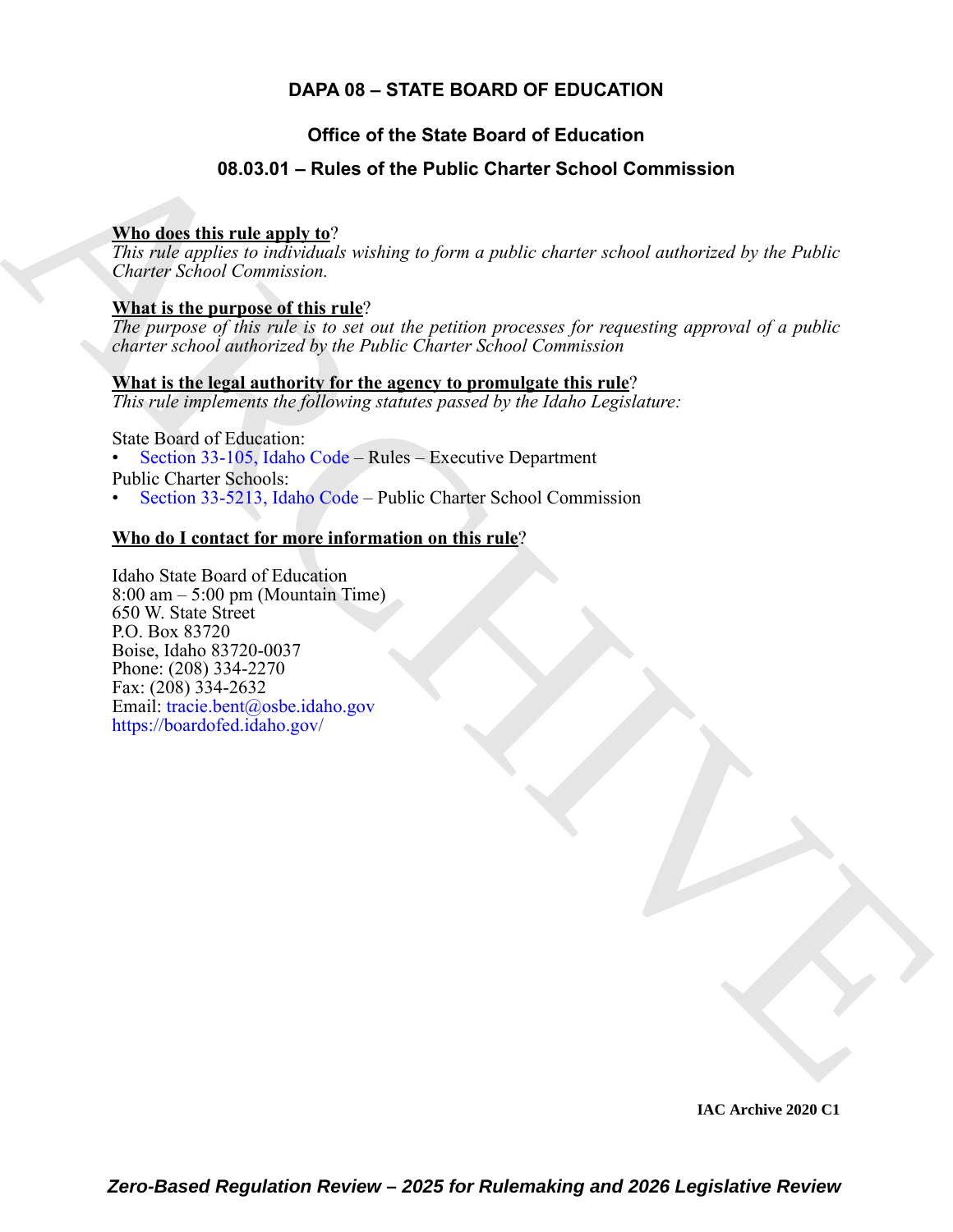## **DAPA 08 – STATE BOARD OF EDUCATION**

## **Office of the State Board of Education**

## **08.03.01 – Rules of the Public Charter School Commission**

#### **Who does this rule apply to**?

*This rule applies to individuals wishing to form a public charter school authorized by the Public Charter School Commission.*

#### **What is the purpose of this rule**?

*The purpose of this rule is to set out the petition processes for requesting approval of a public charter school authorized by the Public Charter School Commission*

#### **What is the legal authority for the agency to promulgate this rule**?

*This rule implements the following statutes passed by the Idaho Legislature:*

State Board of Education:

• Section 33-105, Idaho Code – Rules – Executive Department

Public Charter Schools:

• Section 33-5213, Idaho Code – Public Charter School Commission

### **Who do I contact for more information on this rule**?

<span id="page-0-0"></span>**06.05.04 – Rules of the Public Character School Commission**<br>
This disc this rule and v  $\Omega^2$ <br>
This role applies to useful symbols characterized by the Public<br>
Character School Consistention,<br> **What is the argumes of thi** Idaho State Board of Education 8:00 am – 5:00 pm (Mountain Time) 650 W. State Street P.O. Box 83720 Boise, Idaho 83720-0037 Phone: (208) 334-2270 Fax: (208) 334-2632 Email: tracie.bent@osbe.idaho.gov https://boardofed.idaho.gov/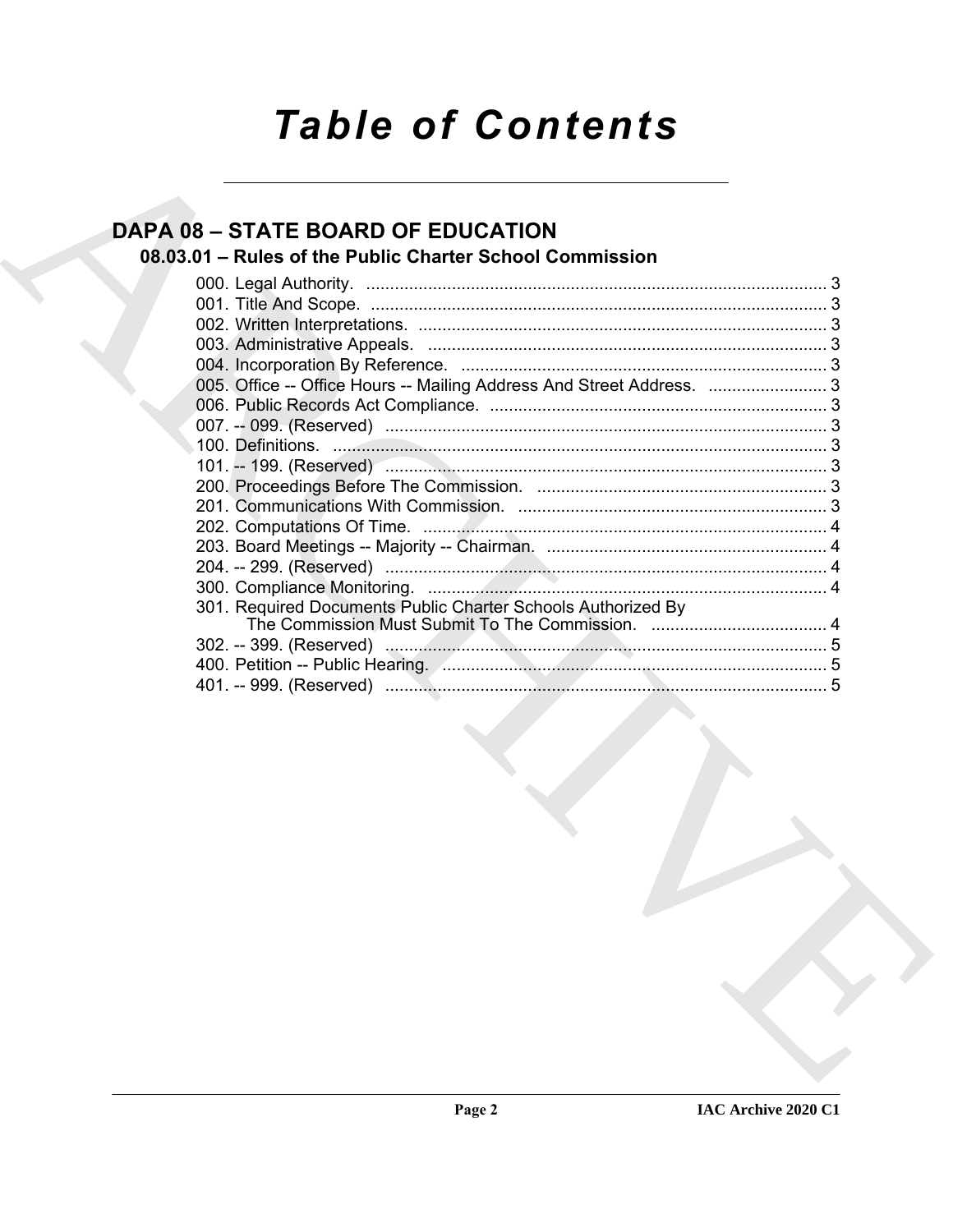# **Table of Contents**

## **DAPA 08 - STATE BOARD OF EDUCATION**

## 08.03.01 - Rules of the Public Charter School Commission

| 301. Required Documents Public Charter Schools Authorized By |  |
|--------------------------------------------------------------|--|
|                                                              |  |
|                                                              |  |
|                                                              |  |
|                                                              |  |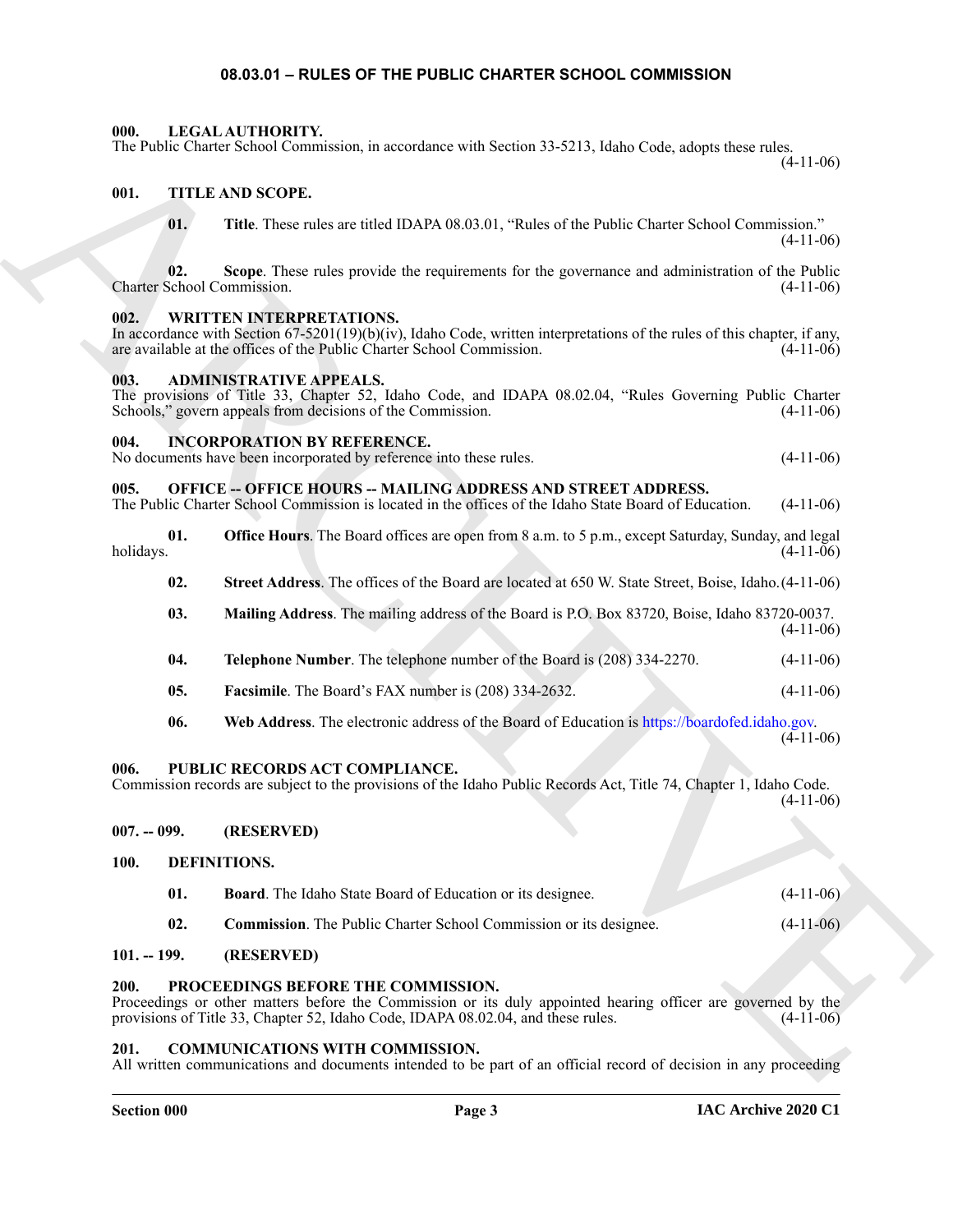#### **08.03.01 – RULES OF THE PUBLIC CHARTER SCHOOL COMMISSION**

#### <span id="page-2-19"></span><span id="page-2-1"></span><span id="page-2-0"></span>**000. LEGAL AUTHORITY.**

The Public Charter School Commission, in accordance with Section 33-5213, Idaho Code, adopts these rules.

(4-11-06)

#### <span id="page-2-2"></span>**001. TITLE AND SCOPE.**

<span id="page-2-22"></span>**01. Title**. These rules are titled IDAPA 08.03.01, "Rules of the Public Charter School Commission."  $(4-11-06)$ 

**02. Scope**. These rules provide the requirements for the governance and administration of the Public Charter School Commission.

#### <span id="page-2-23"></span><span id="page-2-3"></span>**002. WRITTEN INTERPRETATIONS.**

The Poste Cheron Schwei Commission, in everybrane with Steiner 35-2313, bisho Cole, edges because  $\frac{1}{2}$ <br>
16. THE ARCH[IV](https://boardofed.idaho.gov)ES CONFIGURATION (1993), "Tolds of the Seventeen can administration of the Hamilton Commission<br>
16 In accordance with Section 67-5201(19)(b)(iv), Idaho Code, written interpretations of the rules of this chapter, if any, are available at the offices of the Public Charter School Commission.  $(4-11-06)$ are available at the offices of the Public Charter School Commission.

#### <span id="page-2-13"></span><span id="page-2-4"></span>**003. ADMINISTRATIVE APPEALS.**

The provisions of Title 33, Chapter 52, Idaho Code, and IDAPA 08.02.04, "Rules Governing Public Charter Schools," govern appeals from decisions of the Commission. (4-11-06) Schools," govern appeals from decisions of the Commission.

#### <span id="page-2-18"></span><span id="page-2-5"></span>**004. INCORPORATION BY REFERENCE.**

No documents have been incorporated by reference into these rules. (4-11-06)

#### <span id="page-2-20"></span><span id="page-2-6"></span>**005. OFFICE -- OFFICE HOURS -- MAILING ADDRESS AND STREET ADDRESS.**

The Public Charter School Commission is located in the offices of the Idaho State Board of Education. (4-11-06)

**01. Office Hours**. The Board offices are open from 8 a.m. to 5 p.m., except Saturday, Sunday, and legal holidays. (4-11-06) holidays. (4-11-06)

**02. Street Address**. The offices of the Board are located at 650 W. State Street, Boise, Idaho.(4-11-06)

- **03. Mailing Address**. The mailing address of the Board is P.O. Box 83720, Boise, Idaho 83720-0037.  $(4-11-06)$
- **04. Telephone Number**. The telephone number of the Board is (208) 334-2270. (4-11-06)
- **05. Facsimile**. The Board's FAX number is (208) 334-2632. (4-11-06)
- **06. Web Address**. The electronic address of the Board of Education is https://boardofed.idaho.gov.

 $(4-11-06)$ 

#### <span id="page-2-7"></span>**006. PUBLIC RECORDS ACT COMPLIANCE.**

Commission records are subject to the provisions of the Idaho Public Records Act, Title 74, Chapter 1, Idaho Code.  $(4-11-06)$ 

#### <span id="page-2-8"></span>**007. -- 099. (RESERVED)**

#### <span id="page-2-9"></span>**100. DEFINITIONS.**

- <span id="page-2-17"></span><span id="page-2-16"></span><span id="page-2-15"></span>**01. Board**. The Idaho State Board of Education or its designee. (4-11-06)
- <span id="page-2-21"></span>**02. Commission**. The Public Charter School Commission or its designee. (4-11-06)

#### <span id="page-2-10"></span>**101. -- 199. (RESERVED)**

#### <span id="page-2-11"></span>**200. PROCEEDINGS BEFORE THE COMMISSION.**

Proceedings or other matters before the Commission or its duly appointed hearing officer are governed by the provisions of Title 33, Chapter 52, Idaho Code, IDAPA 08.02.04, and these rules. (4-11-06) provisions of Title 33, Chapter 52, Idaho Code, IDAPA 08.02.04, and these rules.

#### <span id="page-2-14"></span><span id="page-2-12"></span>**201. COMMUNICATIONS WITH COMMISSION.**

All written communications and documents intended to be part of an official record of decision in any proceeding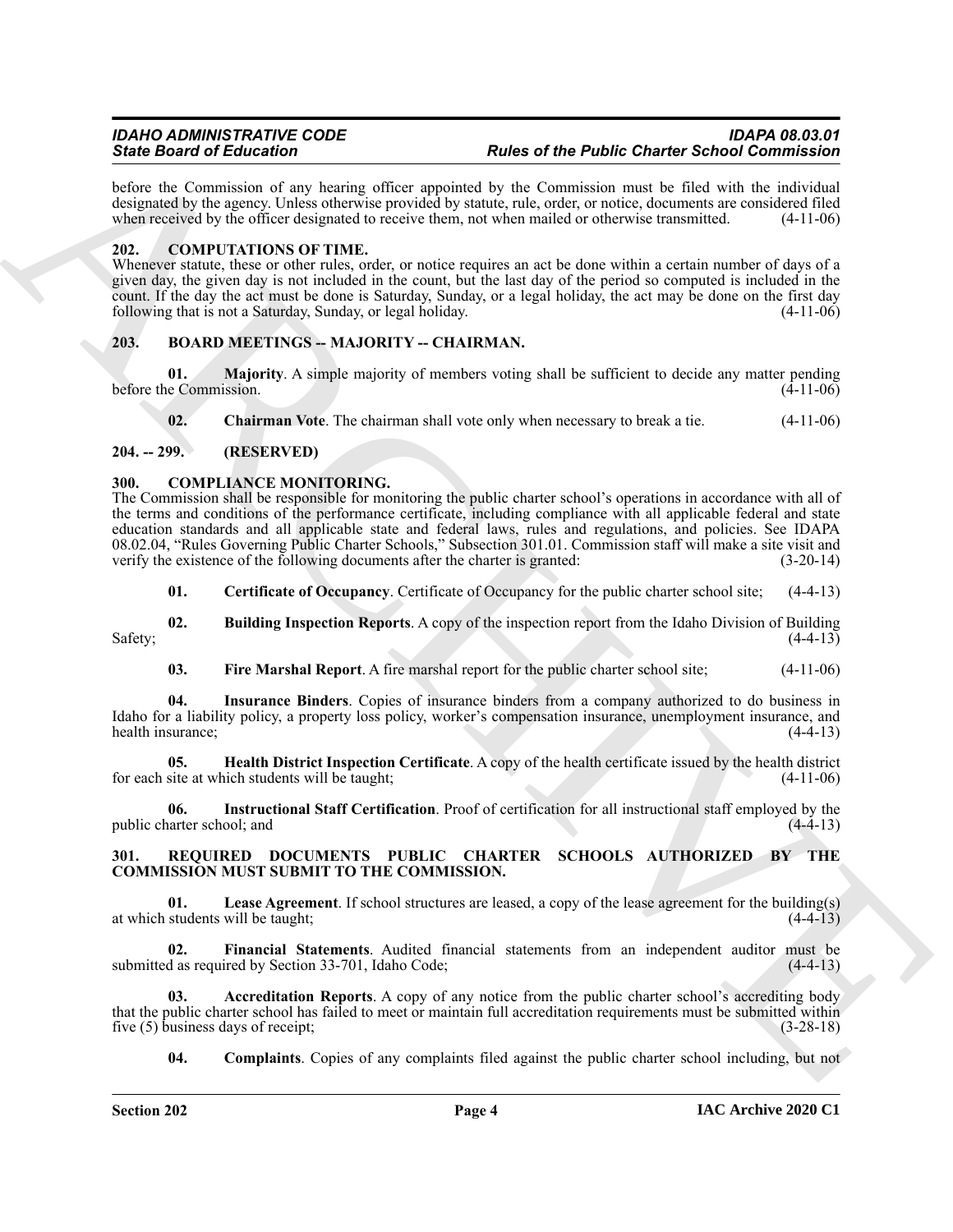before the Commission of any hearing officer appointed by the Commission must be filed with the individual designated by the agency. Unless otherwise provided by statute, rule, order, or notice, documents are considered filed when received by the officer designated to receive them, not when mailed or otherwise transmitted. (4-1 when received by the officer designated to receive them, not when mailed or otherwise transmitted.

#### <span id="page-3-15"></span><span id="page-3-0"></span>**202. COMPUTATIONS OF TIME.**

Whenever statute, these or other rules, order, or notice requires an act be done within a certain number of days of a given day, the given day is not included in the count, but the last day of the period so computed is included in the count. If the day the act must be done is Saturday, Sunday, or a legal holiday, the act may be done on the first day following that is not a Saturday, Sunday, or legal holiday. (4-11-06)

#### <span id="page-3-5"></span><span id="page-3-1"></span>**203. BOARD MEETINGS -- MAJORITY -- CHAIRMAN.**

**01. Majority**. A simple majority of members voting shall be sufficient to decide any matter pending in Commission. (4-11-06) before the Commission.

<span id="page-3-8"></span><span id="page-3-7"></span><span id="page-3-6"></span>**02. Chairman Vote**. The chairman shall vote only when necessary to break a tie. (4-11-06)

#### <span id="page-3-2"></span>**204. -- 299. (RESERVED)**

#### <span id="page-3-3"></span>**300. COMPLIANCE MONITORING.**

Sink Book of Editorial on the Universe Proposition of the Parkelic Chernel of Chernic Colorid Constraints (2012)<br>
And the Common of the heating propose is a state of the Parkelic Chern of the Chern of the Chern of the Che The Commission shall be responsible for monitoring the public charter school's operations in accordance with all of the terms and conditions of the performance certificate, including compliance with all applicable federal and state education standards and all applicable state and federal laws, rules and regulations, and policies. See IDAPA 08.02.04, "Rules Governing Public Charter Schools," Subsection 301.01. Commission staff will make a site visit and verify the existence of the following documents after the charter is granted: (3-20-14)

<span id="page-3-10"></span><span id="page-3-9"></span>**01. Certificate of Occupancy**. Certificate of Occupancy for the public charter school site; (4-4-13)

**02. Building Inspection Reports**. A copy of the inspection report from the Idaho Division of Building  $Safety;$  (4-4-13)

<span id="page-3-14"></span><span id="page-3-12"></span><span id="page-3-11"></span>**03. Fire Marshal Report**. A fire marshal report for the public charter school site; (4-11-06)

**04. Insurance Binders**. Copies of insurance binders from a company authorized to do business in Idaho for a liability policy, a property loss policy, worker's compensation insurance, unemployment insurance, and health insurance; (4-4-13) health insurance;

**05. Health District Inspection Certificate**. A copy of the health certificate issued by the health district site at which students will be taught; (4-11-06) for each site at which students will be taught;

<span id="page-3-13"></span>**06. Instructional Staff Certification**. Proof of certification for all instructional staff employed by the public charter school; and

#### <span id="page-3-16"></span><span id="page-3-4"></span>**301. REQUIRED DOCUMENTS PUBLIC CHARTER SCHOOLS AUTHORIZED BY THE COMMISSION MUST SUBMIT TO THE COMMISSION.**

<span id="page-3-20"></span>**01. Lease Agreement**. If school structures are leased, a copy of the lease agreement for the building(s) at which students will be taught; (4-4-13)

<span id="page-3-19"></span>**02. Financial Statements**. Audited financial statements from an independent auditor must be submitted as required by Section 33-701, Idaho Code;

**03. Accreditation Reports**. A copy of any notice from the public charter school's accrediting body that the public charter school has failed to meet or maintain full accreditation requirements must be submitted within five (5) business days of receipt;<br>(3-28-18) five  $(5)$  business days of receipt;

<span id="page-3-18"></span><span id="page-3-17"></span>**04.** Complaints. Copies of any complaints filed against the public charter school including, but not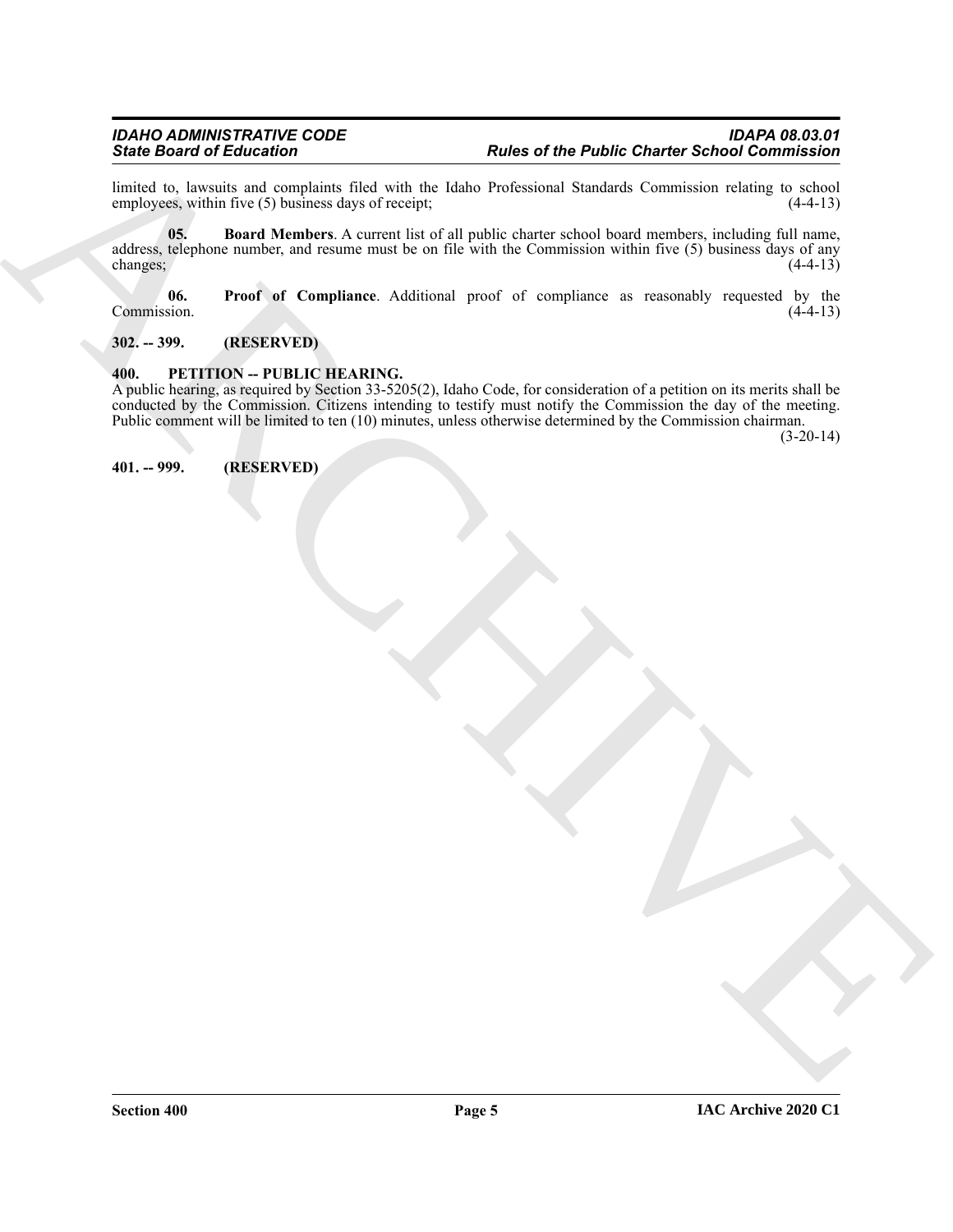<span id="page-4-4"></span>limited to, lawsuits and complaints filed with the Idaho Professional Standards Commission relating to school employees, within five  $(5)$  business days of receipt;

Since O distribution of the Public Charter School Commission<br>
limited to, however, and completely dist with the tele-<br>
and the public charter and the state of the public distribution of the main and the state of the publi **05. Board Members**. A current list of all public charter school board members, including full name, address, telephone number, and resume must be on file with the Commission within five (5) business days of any changes; (4-4-13) changes;  $(4-4-13)$ 

<span id="page-4-5"></span>**06.** Proof of Compliance. Additional proof of compliance as reasonably requested by the Commission. (4-4-13) Commission. (4-4-13)

<span id="page-4-0"></span>**302. -- 399. (RESERVED)**

#### <span id="page-4-3"></span><span id="page-4-1"></span>**400. PETITION -- PUBLIC HEARING.**

A public hearing, as required by Section 33-5205(2), Idaho Code, for consideration of a petition on its merits shall be conducted by the Commission. Citizens intending to testify must notify the Commission the day of the meeting. Public comment will be limited to ten (10) minutes, unless otherwise determined by the Commission chairman.

(3-20-14)

<span id="page-4-2"></span>**401. -- 999. (RESERVED)**